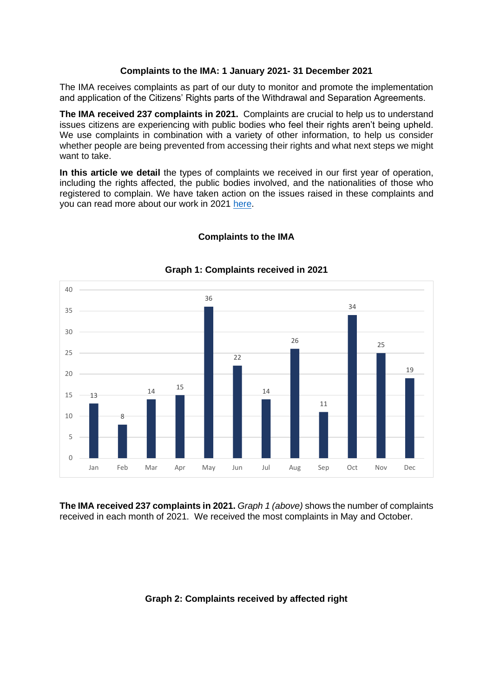# **Complaints to the IMA: 1 January 2021- 31 December 2021**

The IMA receives complaints as part of our duty to monitor and promote the implementation and application of the Citizens' Rights parts of the Withdrawal and Separation Agreements.

**The IMA received 237 complaints in 2021.** Complaints are crucial to help us to understand issues citizens are experiencing with public bodies who feel their rights aren't being upheld. We use complaints in combination with a variety of other information, to help us consider whether people are being prevented from accessing their rights and what next steps we might want to take.

**In this article we detail** the types of complaints we received in our first year of operation, including the rights affected, the public bodies involved, and the nationalities of those who registered to complain. We have taken action on the issues raised in these complaints and you can read more about our work in 2021 [here.](https://ima-citizensrights.org.uk/news/independent-monitoring-authority-reflects-on-first-year-in-operation/)



# **Complaints to the IMA**

**The IMA received 237 complaints in 2021.** *Graph 1 (above)* shows the number of complaints received in each month of 2021. We received the most complaints in May and October.

#### **Graph 2: Complaints received by affected right**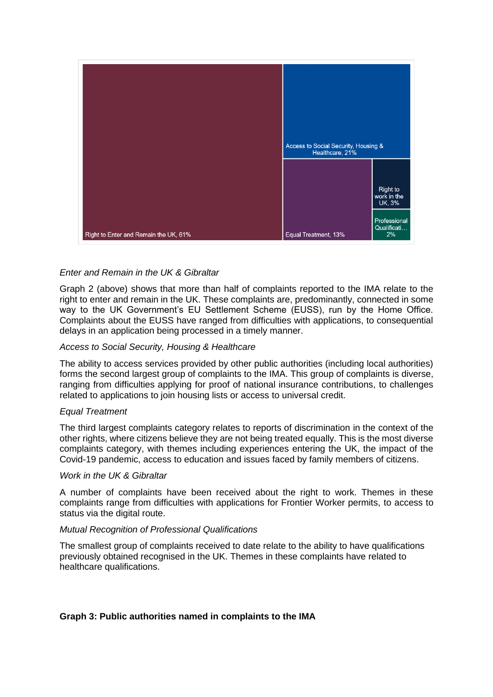

# *Enter and Remain in the UK & Gibraltar*

Graph 2 (above) shows that more than half of complaints reported to the IMA relate to the right to enter and remain in the UK. These complaints are, predominantly, connected in some way to the UK Government's EU Settlement Scheme (EUSS), run by the Home Office. Complaints about the EUSS have ranged from difficulties with applications, to consequential delays in an application being processed in a timely manner.

# *Access to Social Security, Housing & Healthcare*

The ability to access services provided by other public authorities (including local authorities) forms the second largest group of complaints to the IMA. This group of complaints is diverse, ranging from difficulties applying for proof of national insurance contributions, to challenges related to applications to join housing lists or access to universal credit.

#### *Equal Treatment*

The third largest complaints category relates to reports of discrimination in the context of the other rights, where citizens believe they are not being treated equally. This is the most diverse complaints category, with themes including experiences entering the UK, the impact of the Covid-19 pandemic, access to education and issues faced by family members of citizens.

#### *Work in the UK & Gibraltar*

A number of complaints have been received about the right to work. Themes in these complaints range from difficulties with applications for Frontier Worker permits, to access to status via the digital route.

#### *Mutual Recognition of Professional Qualifications*

The smallest group of complaints received to date relate to the ability to have qualifications previously obtained recognised in the UK. Themes in these complaints have related to healthcare qualifications.

# **Graph 3: Public authorities named in complaints to the IMA**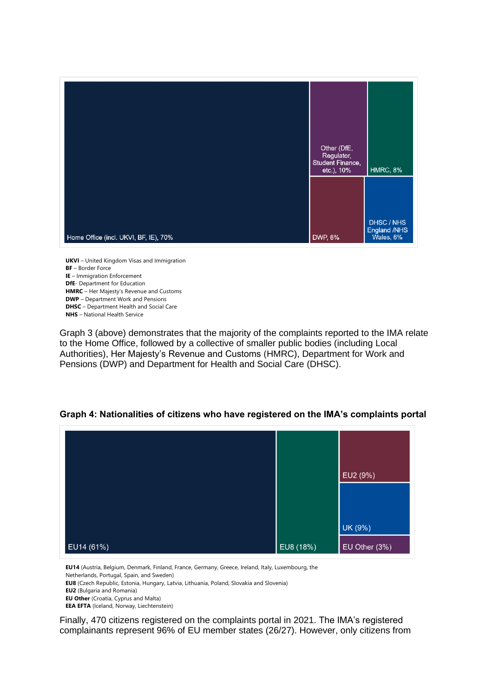

**UKVI** – United Kingdom Visas and Immigration **BF** – Border Force **IE** – Immigration Enforcement **DfE**- Department for Education **HMRC** – Her Majesty's Revenue and Customs **DWP** – Department Work and Pensions **DHSC** – Department Health and Social Care **NHS** – National Health Service

Graph 3 (above) demonstrates that the majority of the complaints reported to the IMA relate Staph of (above) domonomated that the majority of the complainte reported to the intrim-Authorities), Her Majesty's Revenue and Customs (HMRC), Department for Work and Pensions (DWP) and Department for Health and Social Care (DHSC). **EU8 Propine Cultua, Tollowed by a collective of sitialier pu EEA EFTA** (Iceland, Norway, Liechtenstein)



#### **Graph 4: Nationalities of citizens who have registered on the IMA's complaints portal**

**EU14** (Austria, Belgium, Denmark, Finland, France, Germany, Greece, Ireland, Italy, Luxembourg, the Netherlands, Portugal, Spain, and Sweden)

**EU8** (Czech Republic, Estonia, Hungary, Latvia, Lithuania, Poland, Slovakia and Slovenia)

**EU2** (Bulgaria and Romania)

**EU Other** (Croatia, Cyprus and Malta)

**EEA EFTA** (Iceland, Norway, Liechtenstein)

Finally, 470 citizens registered on the complaints portal in 2021. The IMA's registered complainants represent 96% of EU member states (26/27). However, only citizens from